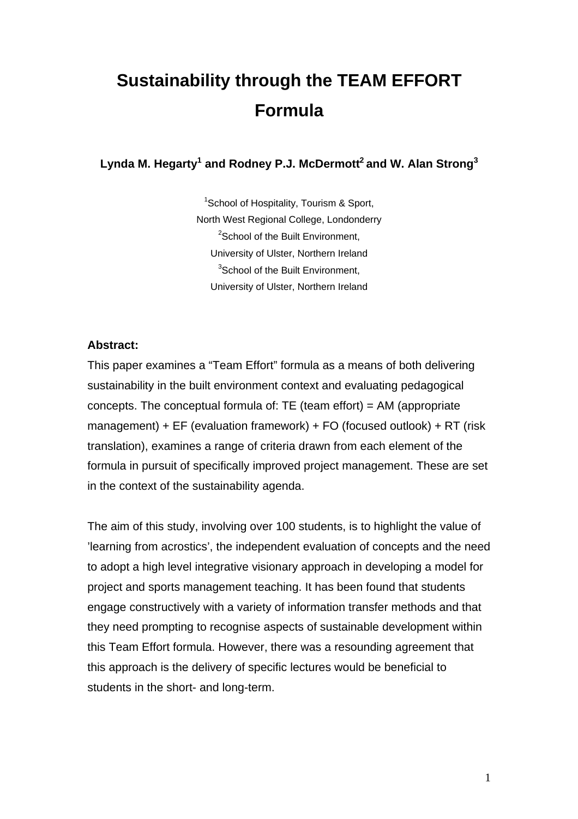# **Sustainability through the TEAM EFFORT Formula**

Lynda M. Hegarty<sup>1</sup> and Rodney P.J. McDermott<sup>2</sup> and W. Alan Strong<sup>3</sup>

<sup>1</sup>School of Hospitality, Tourism & Sport, North West Regional College, Londonderry <sup>2</sup>School of the Built Environment, University of Ulster, Northern Ireland <sup>3</sup>School of the Built Environment, University of Ulster, Northern Ireland

#### **Abstract:**

This paper examines a "Team Effort" formula as a means of both delivering sustainability in the built environment context and evaluating pedagogical concepts. The conceptual formula of: TE (team effort) = AM (appropriate management) + EF (evaluation framework) + FO (focused outlook) + RT (risk translation), examines a range of criteria drawn from each element of the formula in pursuit of specifically improved project management. These are set in the context of the sustainability agenda.

The aim of this study, involving over 100 students, is to highlight the value of 'learning from acrostics', the independent evaluation of concepts and the need to adopt a high level integrative visionary approach in developing a model for project and sports management teaching. It has been found that students engage constructively with a variety of information transfer methods and that they need prompting to recognise aspects of sustainable development within this Team Effort formula. However, there was a resounding agreement that this approach is the delivery of specific lectures would be beneficial to students in the short- and long-term.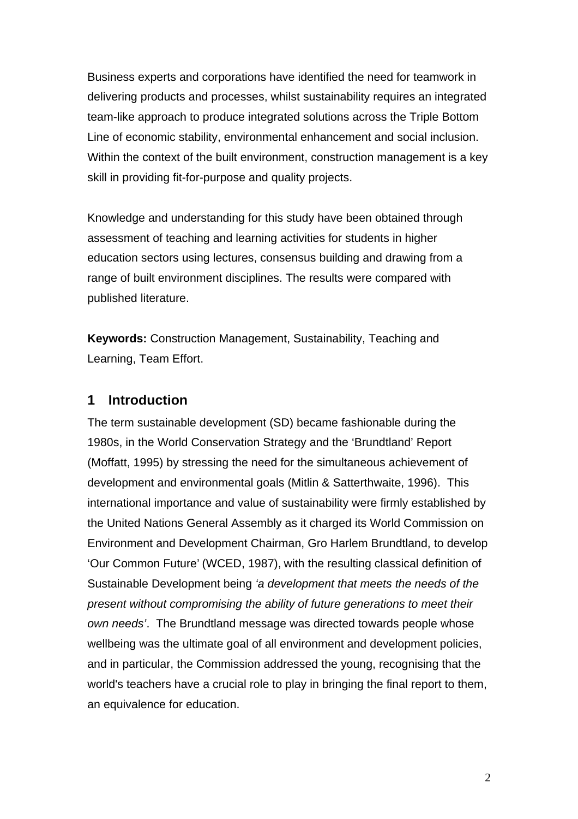Business experts and corporations have identified the need for teamwork in delivering products and processes, whilst sustainability requires an integrated team-like approach to produce integrated solutions across the Triple Bottom Line of economic stability, environmental enhancement and social inclusion. Within the context of the built environment, construction management is a key skill in providing fit-for-purpose and quality projects.

Knowledge and understanding for this study have been obtained through assessment of teaching and learning activities for students in higher education sectors using lectures, consensus building and drawing from a range of built environment disciplines. The results were compared with published literature.

**Keywords:** Construction Management, Sustainability, Teaching and Learning, Team Effort.

## **1 Introduction**

The term sustainable development (SD) became fashionable during the 1980s, in the World Conservation Strategy and the 'Brundtland' Report (Moffatt, 1995) by stressing the need for the simultaneous achievement of development and environmental goals (Mitlin & Satterthwaite, 1996). This international importance and value of sustainability were firmly established by the United Nations General Assembly as it charged its World Commission on Environment and Development Chairman, Gro Harlem Brundtland, to develop 'Our Common Future' (WCED, 1987), with the resulting classical definition of Sustainable Development being *'a development that meets the needs of the present without compromising the ability of future generations to meet their own needs'*. The Brundtland message was directed towards people whose wellbeing was the ultimate goal of all environment and development policies, and in particular, the Commission addressed the young, recognising that the world's teachers have a crucial role to play in bringing the final report to them, an equivalence for education.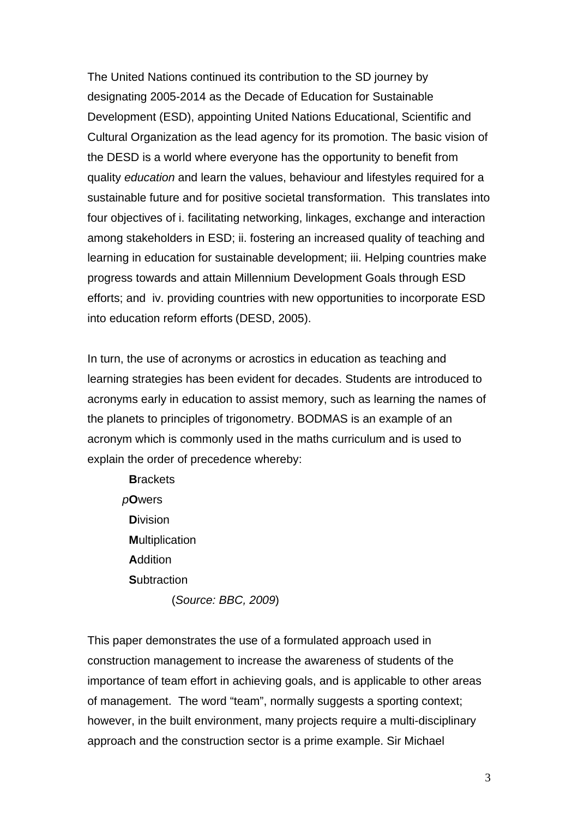The United Nations continued its contribution to the SD journey by designating 2005-2014 as the Decade of Education for Sustainable Development (ESD), appointing United Nations Educational, Scientific and Cultural Organization as the lead agency for its promotion. The basic vision of the DESD is a world where everyone has the opportunity to benefit from quality *education* and learn the values, behaviour and lifestyles required for a sustainable future and for positive societal transformation. This translates into four objectives of i. facilitating networking, linkages, exchange and interaction among stakeholders in ESD; ii. fostering an increased quality of teaching and learning in education for sustainable development; iii. Helping countries make progress towards and attain Millennium Development Goals through ESD efforts; and iv. providing countries with new opportunities to incorporate ESD into education reform efforts (DESD, 2005).

In turn, the use of acronyms or acrostics in education as teaching and learning strategies has been evident for decades. Students are introduced to acronyms early in education to assist memory, such as learning the names of the planets to principles of trigonometry. BODMAS is an example of an acronym which is commonly used in the maths curriculum and is used to explain the order of precedence whereby:

 **B**rackets *p***O**wers  **D**ivision  **M**ultiplication  **A**ddition  **S**ubtraction

(*Source: BBC, 2009*)

This paper demonstrates the use of a formulated approach used in construction management to increase the awareness of students of the importance of team effort in achieving goals, and is applicable to other areas of management. The word "team", normally suggests a sporting context; however, in the built environment, many projects require a multi-disciplinary approach and the construction sector is a prime example. Sir Michael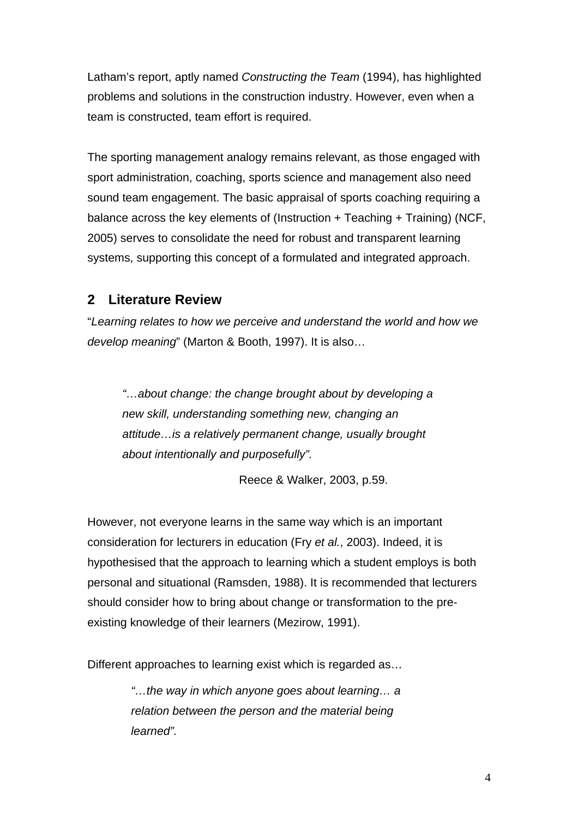Latham's report, aptly named *Constructing the Team* (1994), has highlighted problems and solutions in the construction industry. However, even when a team is constructed, team effort is required.

The sporting management analogy remains relevant, as those engaged with sport administration, coaching, sports science and management also need sound team engagement. The basic appraisal of sports coaching requiring a balance across the key elements of (Instruction + Teaching + Training) (NCF, 2005) serves to consolidate the need for robust and transparent learning systems, supporting this concept of a formulated and integrated approach.

### **2 Literature Review**

"*Learning relates to how we perceive and understand the world and how we develop meaning*" (Marton & Booth, 1997). It is also…

*"…about change: the change brought about by developing a new skill, understanding something new, changing an attitude…is a relatively permanent change, usually brought about intentionally and purposefully".*

Reece & Walker, 2003, p.59.

However, not everyone learns in the same way which is an important consideration for lecturers in education (Fry *et al.*, 2003). Indeed, it is hypothesised that the approach to learning which a student employs is both personal and situational (Ramsden, 1988). It is recommended that lecturers should consider how to bring about change or transformation to the preexisting knowledge of their learners (Mezirow, 1991).

Different approaches to learning exist which is regarded as…

*"…the way in which anyone goes about learning… a relation between the person and the material being learned".*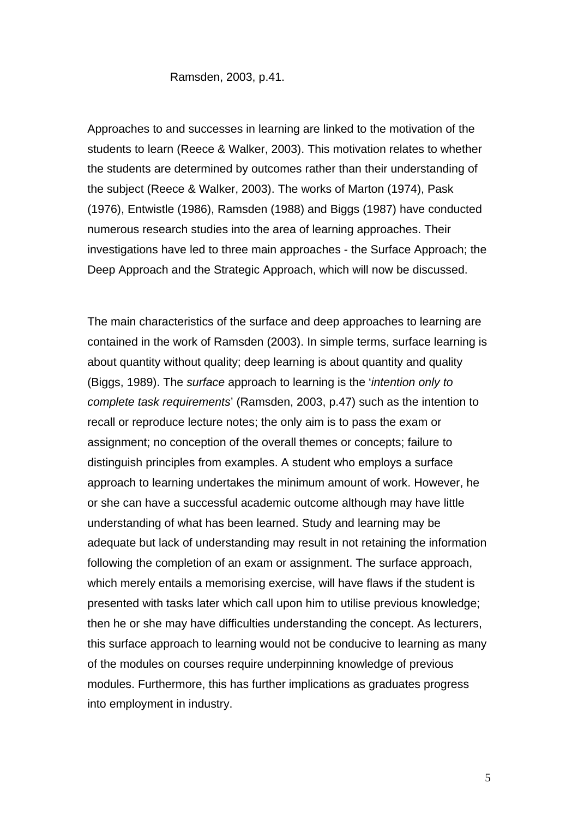#### Ramsden, 2003, p.41.

Approaches to and successes in learning are linked to the motivation of the students to learn (Reece & Walker, 2003). This motivation relates to whether the students are determined by outcomes rather than their understanding of the subject (Reece & Walker, 2003). The works of Marton (1974), Pask (1976), Entwistle (1986), Ramsden (1988) and Biggs (1987) have conducted numerous research studies into the area of learning approaches. Their investigations have led to three main approaches - the Surface Approach; the Deep Approach and the Strategic Approach, which will now be discussed.

The main characteristics of the surface and deep approaches to learning are contained in the work of Ramsden (2003). In simple terms, surface learning is about quantity without quality; deep learning is about quantity and quality (Biggs, 1989). The *surface* approach to learning is the '*intention only to complete task requirements*' (Ramsden, 2003, p.47) such as the intention to recall or reproduce lecture notes; the only aim is to pass the exam or assignment; no conception of the overall themes or concepts; failure to distinguish principles from examples. A student who employs a surface approach to learning undertakes the minimum amount of work. However, he or she can have a successful academic outcome although may have little understanding of what has been learned. Study and learning may be adequate but lack of understanding may result in not retaining the information following the completion of an exam or assignment. The surface approach, which merely entails a memorising exercise, will have flaws if the student is presented with tasks later which call upon him to utilise previous knowledge; then he or she may have difficulties understanding the concept. As lecturers, this surface approach to learning would not be conducive to learning as many of the modules on courses require underpinning knowledge of previous modules. Furthermore, this has further implications as graduates progress into employment in industry.

5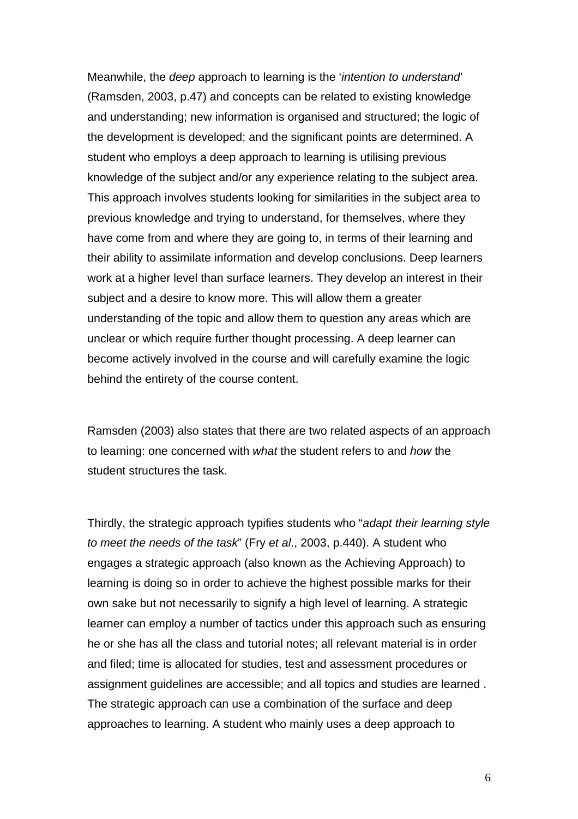Meanwhile, the *deep* approach to learning is the '*intention to understand*' (Ramsden, 2003, p.47) and concepts can be related to existing knowledge and understanding; new information is organised and structured; the logic of the development is developed; and the significant points are determined. A student who employs a deep approach to learning is utilising previous knowledge of the subject and/or any experience relating to the subject area. This approach involves students looking for similarities in the subject area to previous knowledge and trying to understand, for themselves, where they have come from and where they are going to, in terms of their learning and their ability to assimilate information and develop conclusions. Deep learners work at a higher level than surface learners. They develop an interest in their subject and a desire to know more. This will allow them a greater understanding of the topic and allow them to question any areas which are unclear or which require further thought processing. A deep learner can become actively involved in the course and will carefully examine the logic behind the entirety of the course content.

Ramsden (2003) also states that there are two related aspects of an approach to learning: one concerned with *what* the student refers to and *how* the student structures the task.

Thirdly, the strategic approach typifies students who "*adapt their learning style to meet the needs of the task*" (Fry *et al*., 2003, p.440). A student who engages a strategic approach (also known as the Achieving Approach) to learning is doing so in order to achieve the highest possible marks for their own sake but not necessarily to signify a high level of learning. A strategic learner can employ a number of tactics under this approach such as ensuring he or she has all the class and tutorial notes; all relevant material is in order and filed; time is allocated for studies, test and assessment procedures or assignment guidelines are accessible; and all topics and studies are learned . The strategic approach can use a combination of the surface and deep approaches to learning. A student who mainly uses a deep approach to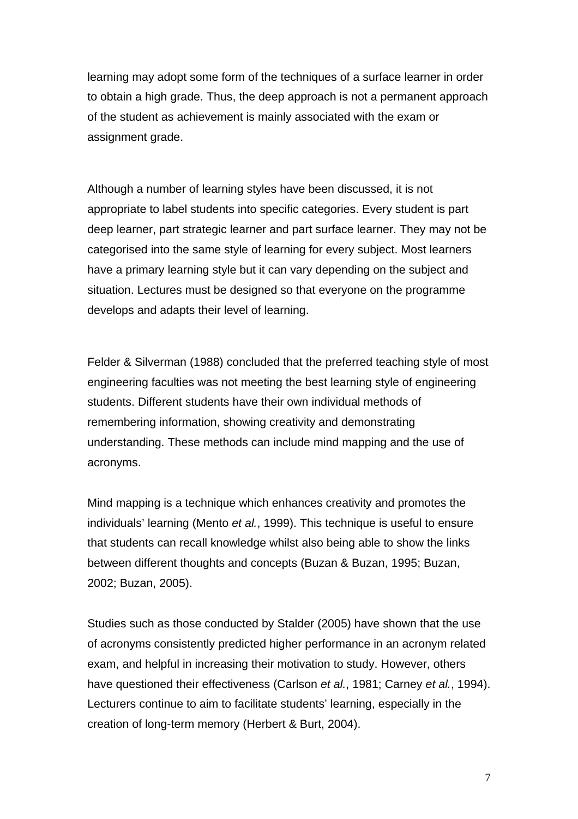learning may adopt some form of the techniques of a surface learner in order to obtain a high grade. Thus, the deep approach is not a permanent approach of the student as achievement is mainly associated with the exam or assignment grade.

Although a number of learning styles have been discussed, it is not appropriate to label students into specific categories. Every student is part deep learner, part strategic learner and part surface learner. They may not be categorised into the same style of learning for every subject. Most learners have a primary learning style but it can vary depending on the subject and situation. Lectures must be designed so that everyone on the programme develops and adapts their level of learning.

Felder & Silverman (1988) concluded that the preferred teaching style of most engineering faculties was not meeting the best learning style of engineering students. Different students have their own individual methods of remembering information, showing creativity and demonstrating understanding. These methods can include mind mapping and the use of acronyms.

Mind mapping is a technique which enhances creativity and promotes the individuals' learning (Mento *et al.*, 1999). This technique is useful to ensure that students can recall knowledge whilst also being able to show the links between different thoughts and concepts (Buzan & Buzan, 1995; Buzan, 2002; Buzan, 2005).

Studies such as those conducted by Stalder (2005) have shown that the use of acronyms consistently predicted higher performance in an acronym related exam, and helpful in increasing their motivation to study. However, others have questioned their effectiveness (Carlson *et al.*, 1981; Carney *et al.*, 1994). Lecturers continue to aim to facilitate students' learning, especially in the creation of long-term memory (Herbert & Burt, 2004).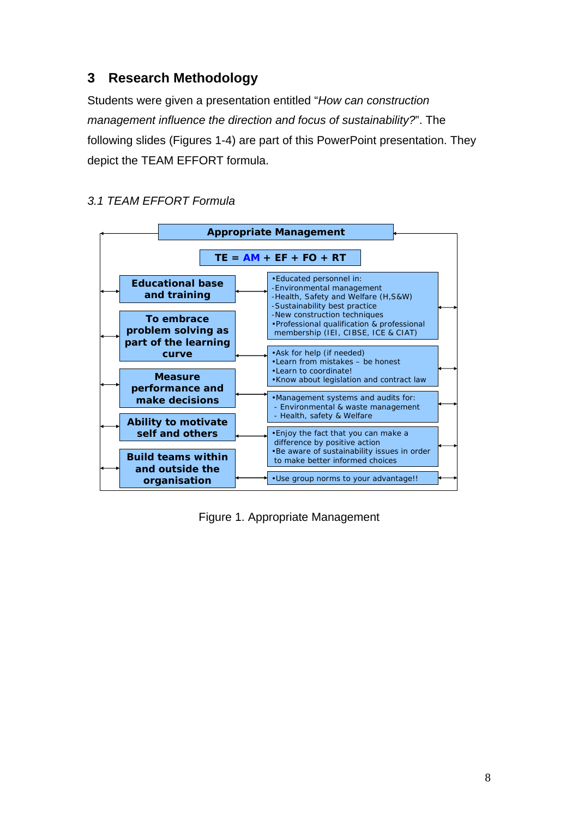# **3 Research Methodology**

Students were given a presentation entitled "*How can construction management influence the direction and focus of sustainability?*". The following slides (Figures 1-4) are part of this PowerPoint presentation. They depict the TEAM EFFORT formula.

### *3.1 TEAM EFFORT Formula*



Figure 1. Appropriate Management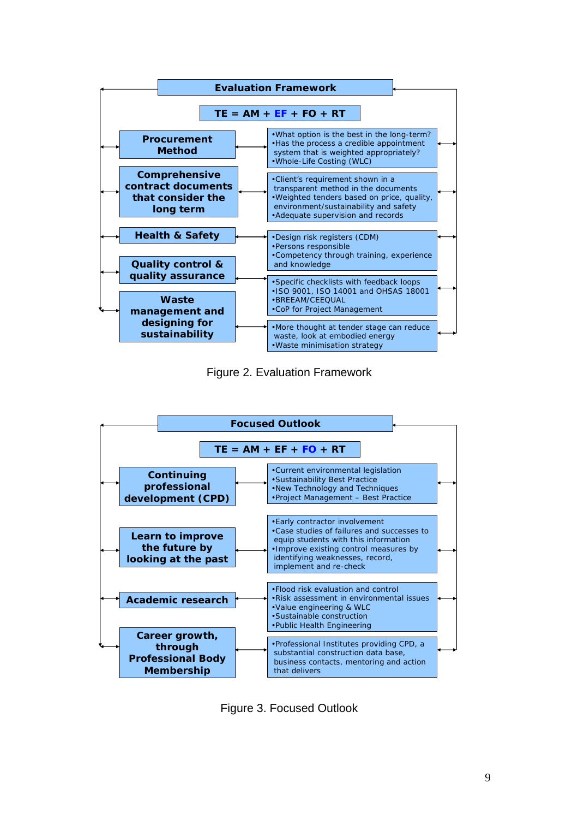

Figure 2. Evaluation Framework



Figure 3. Focused Outlook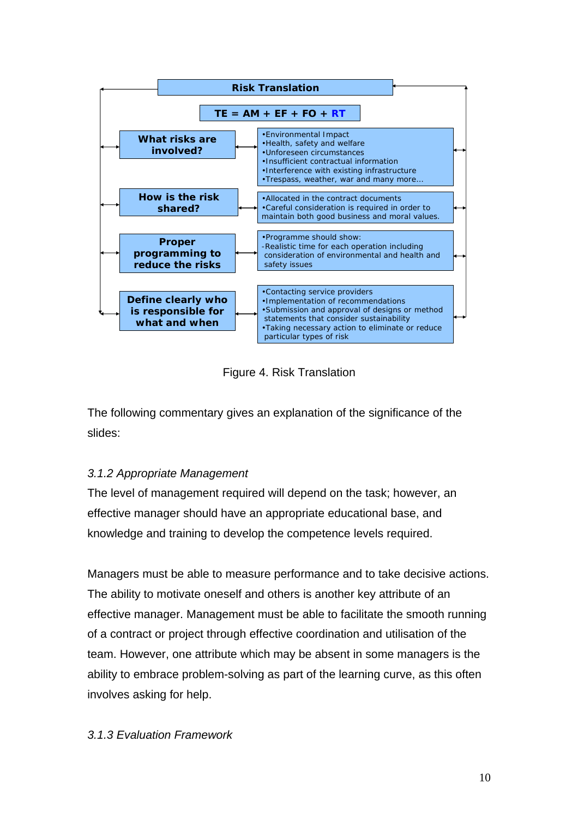

Figure 4. Risk Translation

The following commentary gives an explanation of the significance of the slides:

#### *3.1.2 Appropriate Management*

The level of management required will depend on the task; however, an effective manager should have an appropriate educational base, and knowledge and training to develop the competence levels required.

Managers must be able to measure performance and to take decisive actions. The ability to motivate oneself and others is another key attribute of an effective manager. Management must be able to facilitate the smooth running of a contract or project through effective coordination and utilisation of the team. However, one attribute which may be absent in some managers is the ability to embrace problem-solving as part of the learning curve, as this often involves asking for help.

#### *3.1.3 Evaluation Framework*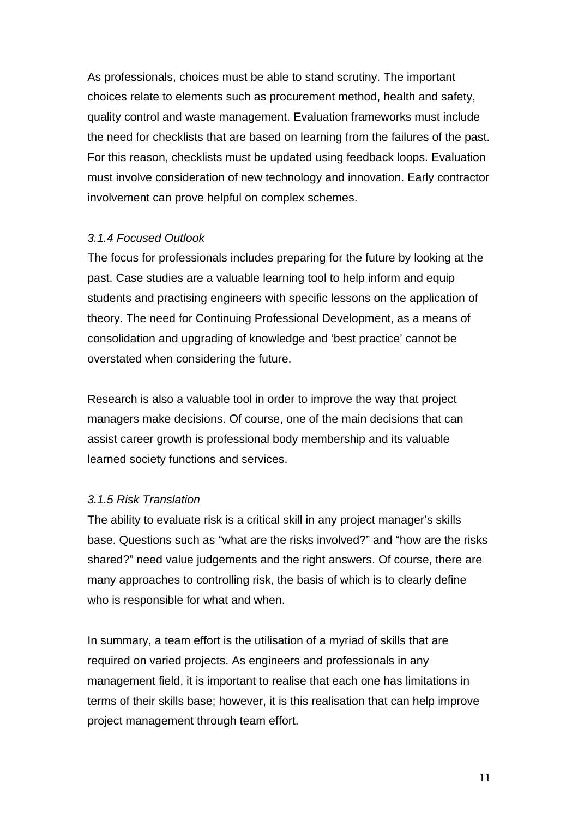As professionals, choices must be able to stand scrutiny. The important choices relate to elements such as procurement method, health and safety, quality control and waste management. Evaluation frameworks must include the need for checklists that are based on learning from the failures of the past. For this reason, checklists must be updated using feedback loops. Evaluation must involve consideration of new technology and innovation. Early contractor involvement can prove helpful on complex schemes.

#### *3.1.4 Focused Outlook*

The focus for professionals includes preparing for the future by looking at the past. Case studies are a valuable learning tool to help inform and equip students and practising engineers with specific lessons on the application of theory. The need for Continuing Professional Development, as a means of consolidation and upgrading of knowledge and 'best practice' cannot be overstated when considering the future.

Research is also a valuable tool in order to improve the way that project managers make decisions. Of course, one of the main decisions that can assist career growth is professional body membership and its valuable learned society functions and services.

#### *3.1.5 Risk Translation*

The ability to evaluate risk is a critical skill in any project manager's skills base. Questions such as "what are the risks involved?" and "how are the risks shared?" need value judgements and the right answers. Of course, there are many approaches to controlling risk, the basis of which is to clearly define who is responsible for what and when.

In summary, a team effort is the utilisation of a myriad of skills that are required on varied projects. As engineers and professionals in any management field, it is important to realise that each one has limitations in terms of their skills base; however, it is this realisation that can help improve project management through team effort.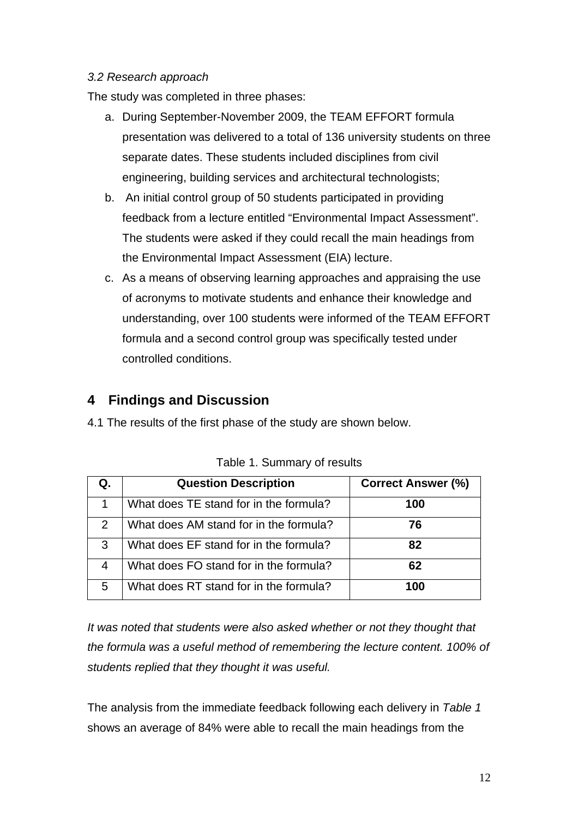#### *3.2 Research approach*

The study was completed in three phases:

- a. During September-November 2009, the TEAM EFFORT formula presentation was delivered to a total of 136 university students on three separate dates. These students included disciplines from civil engineering, building services and architectural technologists;
- b. An initial control group of 50 students participated in providing feedback from a lecture entitled "Environmental Impact Assessment". The students were asked if they could recall the main headings from the Environmental Impact Assessment (EIA) lecture.
- c. As a means of observing learning approaches and appraising the use of acronyms to motivate students and enhance their knowledge and understanding, over 100 students were informed of the TEAM EFFORT formula and a second control group was specifically tested under controlled conditions.

## **4 Findings and Discussion**

4.1 The results of the first phase of the study are shown below.

|   | <b>Question Description</b>            | <b>Correct Answer (%)</b> |
|---|----------------------------------------|---------------------------|
|   | What does TE stand for in the formula? | 100                       |
| 2 | What does AM stand for in the formula? | 76                        |
| 3 | What does EF stand for in the formula? | 82                        |
| 4 | What does FO stand for in the formula? | 62                        |
| 5 | What does RT stand for in the formula? | 100                       |

Table 1. Summary of results

*It was noted that students were also asked whether or not they thought that the formula was a useful method of remembering the lecture content. 100% of students replied that they thought it was useful.* 

The analysis from the immediate feedback following each delivery in *Table 1* shows an average of 84% were able to recall the main headings from the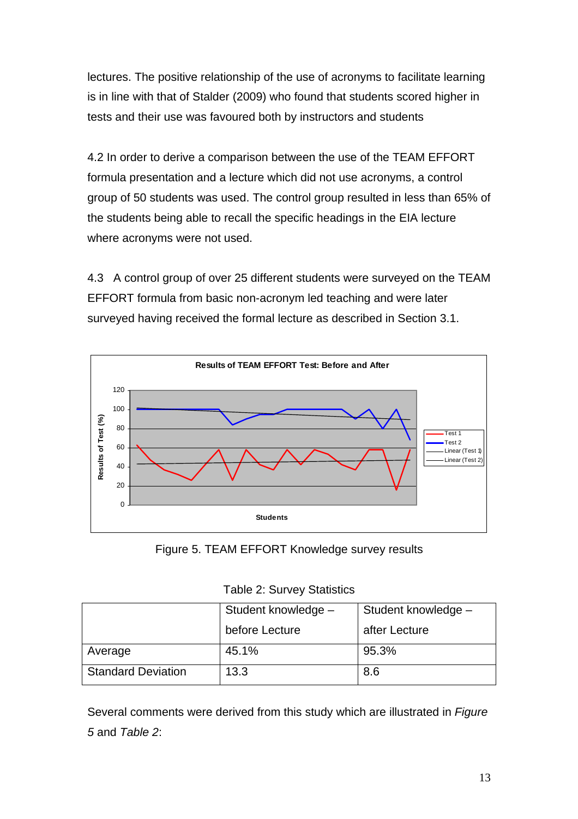lectures. The positive relationship of the use of acronyms to facilitate learning is in line with that of Stalder (2009) who found that students scored higher in tests and their use was favoured both by instructors and students

4.2 In order to derive a comparison between the use of the TEAM EFFORT formula presentation and a lecture which did not use acronyms, a control group of 50 students was used. The control group resulted in less than 65% of the students being able to recall the specific headings in the EIA lecture where acronyms were not used.

4.3 A control group of over 25 different students were surveyed on the TEAM EFFORT formula from basic non-acronym led teaching and were later surveyed having received the formal lecture as described in Section 3.1.



Figure 5. TEAM EFFORT Knowledge survey results

|                           | Student knowledge - | Student knowledge - |
|---------------------------|---------------------|---------------------|
|                           | before Lecture      | after Lecture       |
| Average                   | 45.1%               | 95.3%               |
| <b>Standard Deviation</b> | 13.3                | 8.6                 |

Table 2: Survey Statistics

Several comments were derived from this study which are illustrated in *Figure 5* and *Table 2*: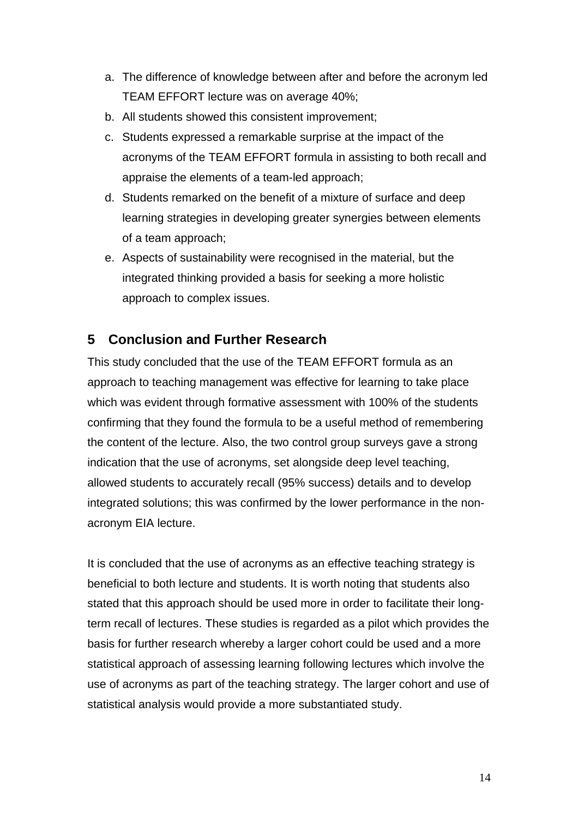- a. The difference of knowledge between after and before the acronym led TEAM EFFORT lecture was on average 40%;
- b. All students showed this consistent improvement;
- c. Students expressed a remarkable surprise at the impact of the acronyms of the TEAM EFFORT formula in assisting to both recall and appraise the elements of a team-led approach;
- d. Students remarked on the benefit of a mixture of surface and deep learning strategies in developing greater synergies between elements of a team approach;
- e. Aspects of sustainability were recognised in the material, but the integrated thinking provided a basis for seeking a more holistic approach to complex issues.

## **5 Conclusion and Further Research**

This study concluded that the use of the TEAM EFFORT formula as an approach to teaching management was effective for learning to take place which was evident through formative assessment with 100% of the students confirming that they found the formula to be a useful method of remembering the content of the lecture. Also, the two control group surveys gave a strong indication that the use of acronyms, set alongside deep level teaching, allowed students to accurately recall (95% success) details and to develop integrated solutions; this was confirmed by the lower performance in the nonacronym EIA lecture.

It is concluded that the use of acronyms as an effective teaching strategy is beneficial to both lecture and students. It is worth noting that students also stated that this approach should be used more in order to facilitate their longterm recall of lectures. These studies is regarded as a pilot which provides the basis for further research whereby a larger cohort could be used and a more statistical approach of assessing learning following lectures which involve the use of acronyms as part of the teaching strategy. The larger cohort and use of statistical analysis would provide a more substantiated study.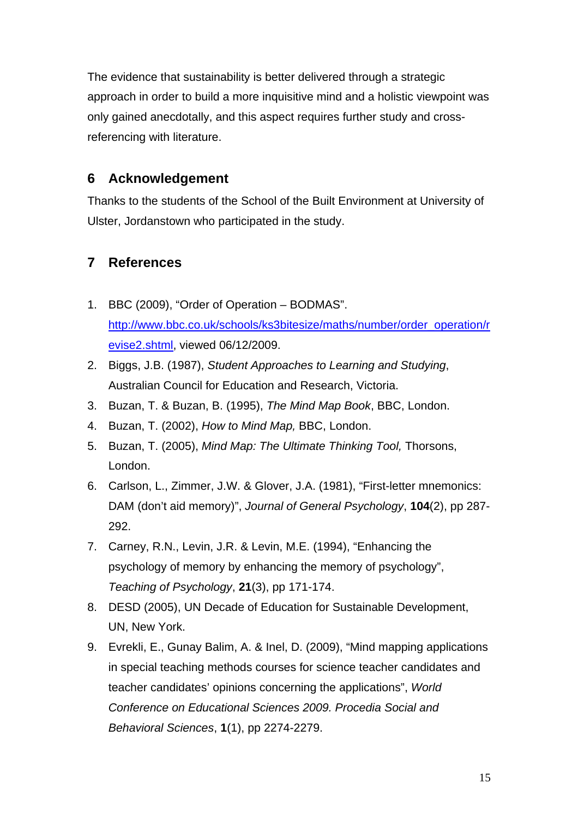The evidence that sustainability is better delivered through a strategic approach in order to build a more inquisitive mind and a holistic viewpoint was only gained anecdotally, and this aspect requires further study and crossreferencing with literature.

## **6 Acknowledgement**

Thanks to the students of the School of the Built Environment at University of Ulster, Jordanstown who participated in the study.

## **7 References**

- 1. BBC (2009), "Order of Operation BODMAS". [http://www.bbc.co.uk/schools/ks3bitesize/maths/number/order\\_operation/r](http://www.bbc.co.uk/schools/ks3bitesize/maths/number/order_operation/revise2.shtml) [evise2.shtml](http://www.bbc.co.uk/schools/ks3bitesize/maths/number/order_operation/revise2.shtml), viewed 06/12/2009.
- 2. Biggs, J.B. (1987), *Student Approaches to Learning and Studying*, Australian Council for Education and Research, Victoria.
- 3. Buzan, T. & Buzan, B. (1995), *The Mind Map Book*, BBC, London.
- 4. Buzan, T. (2002), *How to Mind Map,* BBC, London.
- 5. Buzan, T. (2005), *Mind Map: The Ultimate Thinking Tool,* Thorsons, London.
- 6. Carlson, L., Zimmer, J.W. & Glover, J.A. (1981), "First-letter mnemonics: DAM (don't aid memory)", *Journal of General Psychology*, **104**(2), pp 287- 292.
- 7. Carney, R.N., Levin, J.R. & Levin, M.E. (1994), "Enhancing the psychology of memory by enhancing the memory of psychology", *Teaching of Psychology*, **21**(3), pp 171-174.
- 8. DESD (2005), UN Decade of Education for Sustainable Development, UN, New York.
- 9. Evrekli, E., Gunay Balim, A. & Inel, D. (2009), "Mind mapping applications in special teaching methods courses for science teacher candidates and teacher candidates' opinions concerning the applications", *World Conference on Educational Sciences 2009. Procedia Social and Behavioral Sciences*, **1**(1), pp 2274-2279.